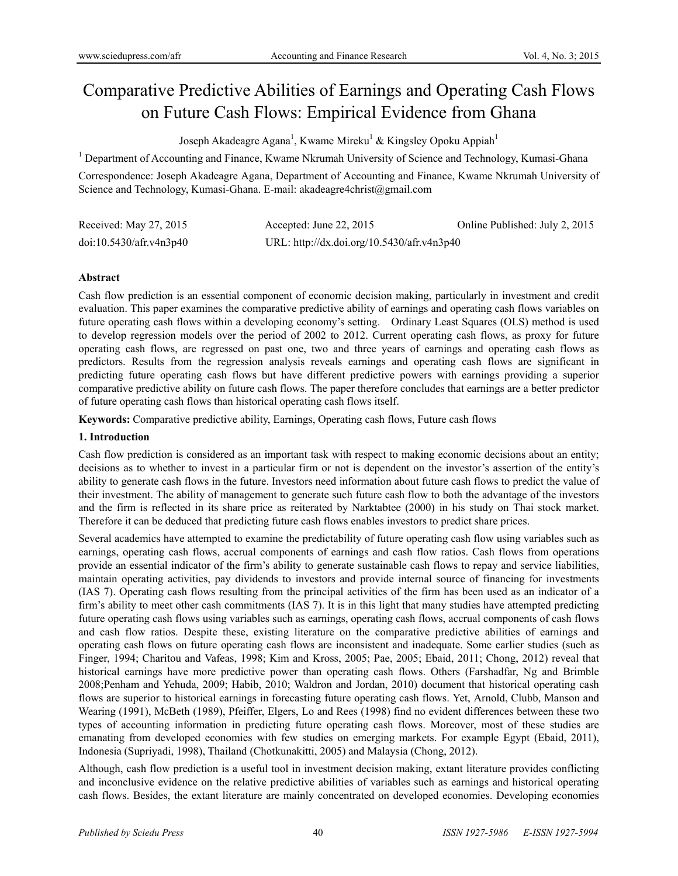# Comparative Predictive Abilities of Earnings and Operating Cash Flows on Future Cash Flows: Empirical Evidence from Ghana

Joseph Akadeagre Agana<sup>1</sup>, Kwame Mireku<sup>1</sup> & Kingsley Opoku Appiah<sup>1</sup>

<sup>1</sup> Department of Accounting and Finance, Kwame Nkrumah University of Science and Technology, Kumasi-Ghana

Correspondence: Joseph Akadeagre Agana, Department of Accounting and Finance, Kwame Nkrumah University of Science and Technology, Kumasi-Ghana. E-mail: akadeagre4christ@gmail.com

| Received: May 27, 2015  | Accepted: June 22, $2015$                  | Online Published: July 2, 2015 |
|-------------------------|--------------------------------------------|--------------------------------|
| doi:10.5430/afr.v4n3p40 | URL: http://dx.doi.org/10.5430/afr.v4n3p40 |                                |

## **Abstract**

Cash flow prediction is an essential component of economic decision making, particularly in investment and credit evaluation. This paper examines the comparative predictive ability of earnings and operating cash flows variables on future operating cash flows within a developing economy's setting. Ordinary Least Squares (OLS) method is used to develop regression models over the period of 2002 to 2012. Current operating cash flows, as proxy for future operating cash flows, are regressed on past one, two and three years of earnings and operating cash flows as predictors. Results from the regression analysis reveals earnings and operating cash flows are significant in predicting future operating cash flows but have different predictive powers with earnings providing a superior comparative predictive ability on future cash flows. The paper therefore concludes that earnings are a better predictor of future operating cash flows than historical operating cash flows itself.

**Keywords:** Comparative predictive ability, Earnings, Operating cash flows, Future cash flows

## **1. Introduction**

Cash flow prediction is considered as an important task with respect to making economic decisions about an entity; decisions as to whether to invest in a particular firm or not is dependent on the investor's assertion of the entity's ability to generate cash flows in the future. Investors need information about future cash flows to predict the value of their investment. The ability of management to generate such future cash flow to both the advantage of the investors and the firm is reflected in its share price as reiterated by Narktabtee (2000) in his study on Thai stock market. Therefore it can be deduced that predicting future cash flows enables investors to predict share prices.

Several academics have attempted to examine the predictability of future operating cash flow using variables such as earnings, operating cash flows, accrual components of earnings and cash flow ratios. Cash flows from operations provide an essential indicator of the firm's ability to generate sustainable cash flows to repay and service liabilities, maintain operating activities, pay dividends to investors and provide internal source of financing for investments (IAS 7). Operating cash flows resulting from the principal activities of the firm has been used as an indicator of a firm's ability to meet other cash commitments (IAS 7). It is in this light that many studies have attempted predicting future operating cash flows using variables such as earnings, operating cash flows, accrual components of cash flows and cash flow ratios. Despite these, existing literature on the comparative predictive abilities of earnings and operating cash flows on future operating cash flows are inconsistent and inadequate. Some earlier studies (such as Finger, 1994; Charitou and Vafeas, 1998; Kim and Kross, 2005; Pae, 2005; Ebaid, 2011; Chong, 2012) reveal that historical earnings have more predictive power than operating cash flows. Others (Farshadfar, Ng and Brimble 2008;Penham and Yehuda, 2009; Habib, 2010; Waldron and Jordan, 2010) document that historical operating cash flows are superior to historical earnings in forecasting future operating cash flows. Yet, Arnold, Clubb, Manson and Wearing (1991), McBeth (1989), Pfeiffer, Elgers, Lo and Rees (1998) find no evident differences between these two types of accounting information in predicting future operating cash flows. Moreover, most of these studies are emanating from developed economies with few studies on emerging markets. For example Egypt (Ebaid, 2011), Indonesia (Supriyadi, 1998), Thailand (Chotkunakitti, 2005) and Malaysia (Chong, 2012).

Although, cash flow prediction is a useful tool in investment decision making, extant literature provides conflicting and inconclusive evidence on the relative predictive abilities of variables such as earnings and historical operating cash flows. Besides, the extant literature are mainly concentrated on developed economies. Developing economies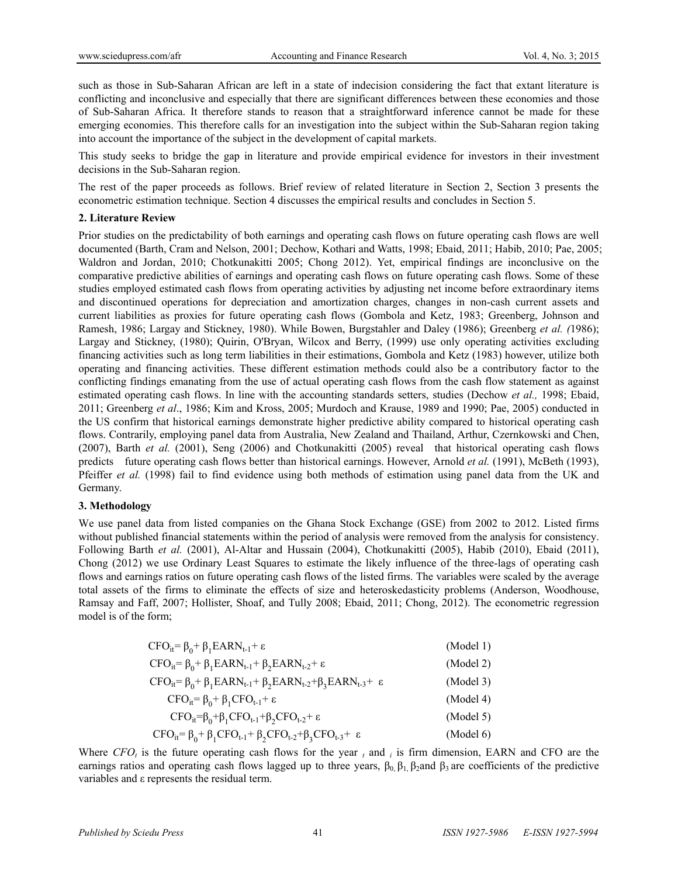such as those in Sub-Saharan African are left in a state of indecision considering the fact that extant literature is conflicting and inconclusive and especially that there are significant differences between these economies and those of Sub-Saharan Africa. It therefore stands to reason that a straightforward inference cannot be made for these emerging economies. This therefore calls for an investigation into the subject within the Sub-Saharan region taking into account the importance of the subject in the development of capital markets.

This study seeks to bridge the gap in literature and provide empirical evidence for investors in their investment decisions in the Sub-Saharan region.

The rest of the paper proceeds as follows. Brief review of related literature in Section 2, Section 3 presents the econometric estimation technique. Section 4 discusses the empirical results and concludes in Section 5.

### **2. Literature Review**

Prior studies on the predictability of both earnings and operating cash flows on future operating cash flows are well documented (Barth, Cram and Nelson, 2001; Dechow, Kothari and Watts, 1998; Ebaid, 2011; Habib, 2010; Pae, 2005; Waldron and Jordan, 2010; Chotkunakitti 2005; Chong 2012). Yet, empirical findings are inconclusive on the comparative predictive abilities of earnings and operating cash flows on future operating cash flows. Some of these studies employed estimated cash flows from operating activities by adjusting net income before extraordinary items and discontinued operations for depreciation and amortization charges, changes in non-cash current assets and current liabilities as proxies for future operating cash flows (Gombola and Ketz, 1983; Greenberg, Johnson and Ramesh, 1986; Largay and Stickney, 1980). While Bowen, Burgstahler and Daley (1986); Greenberg *et al. (*1986); Largay and Stickney, (1980); Quirin, O'Bryan, Wilcox and Berry, (1999) use only operating activities excluding financing activities such as long term liabilities in their estimations, Gombola and Ketz (1983) however, utilize both operating and financing activities. These different estimation methods could also be a contributory factor to the conflicting findings emanating from the use of actual operating cash flows from the cash flow statement as against estimated operating cash flows. In line with the accounting standards setters, studies (Dechow *et al.,* 1998; Ebaid, 2011; Greenberg *et al*., 1986; Kim and Kross, 2005; Murdoch and Krause, 1989 and 1990; Pae, 2005) conducted in the US confirm that historical earnings demonstrate higher predictive ability compared to historical operating cash flows. Contrarily, employing panel data from Australia, New Zealand and Thailand, Arthur, Czernkowski and Chen, (2007), Barth *et al.* (2001), Seng (2006) and Chotkunakitti (2005) reveal that historical operating cash flows predicts future operating cash flows better than historical earnings. However, Arnold *et al.* (1991), McBeth (1993), Pfeiffer *et al.* (1998) fail to find evidence using both methods of estimation using panel data from the UK and Germany.

## **3. Methodology**

We use panel data from listed companies on the Ghana Stock Exchange (GSE) from 2002 to 2012. Listed firms without published financial statements within the period of analysis were removed from the analysis for consistency. Following Barth *et al.* (2001), Al-Altar and Hussain (2004), Chotkunakitti (2005), Habib (2010), Ebaid (2011), Chong (2012) we use Ordinary Least Squares to estimate the likely influence of the three-lags of operating cash flows and earnings ratios on future operating cash flows of the listed firms. The variables were scaled by the average total assets of the firms to eliminate the effects of size and heteroskedasticity problems (Anderson, Woodhouse, Ramsay and Faff, 2007; Hollister, Shoaf, and Tully 2008; Ebaid, 2011; Chong, 2012). The econometric regression model is of the form;

| $CFO_{it} = \beta_0 + \beta_1 EARN_{t-1} + \varepsilon$                                           | (Model 1) |
|---------------------------------------------------------------------------------------------------|-----------|
| $CFO_{it} = \beta_0 + \beta_1 EARN_{t-1} + \beta_2 EARN_{t-2} + \varepsilon$                      | (Model 2) |
| $CFO_{it} = \beta_0 + \beta_1 EARN_{t-1} + \beta_2 EARN_{t-2} + \beta_3 EARN_{t-3} + \varepsilon$ | (Model 3) |
| $CFO_{it} = \beta_0 + \beta_1 CFO_{t-1} + \varepsilon$                                            | (Model 4) |
| $CFO_{it}=\beta_0+\beta_1CFO_{t-1}+\beta_2CFO_{t-2}+\epsilon$                                     | (Model 5) |
| $CFO_{it} = \beta_0 + \beta_1 CFO_{t-1} + \beta_2 CFO_{t-2} + \beta_3 CFO_{t-3} + \varepsilon$    | (Model 6) |

Where  $CFO<sub>t</sub>$  is the future operating cash flows for the year  $<sub>t</sub>$  and  $<sub>i</sub>$  is firm dimension, EARN and CFO are the</sub></sub> earnings ratios and operating cash flows lagged up to three years,  $\beta_0$ ,  $\beta_1$ ,  $\beta_2$ and  $\beta_3$  are coefficients of the predictive variables and ε represents the residual term.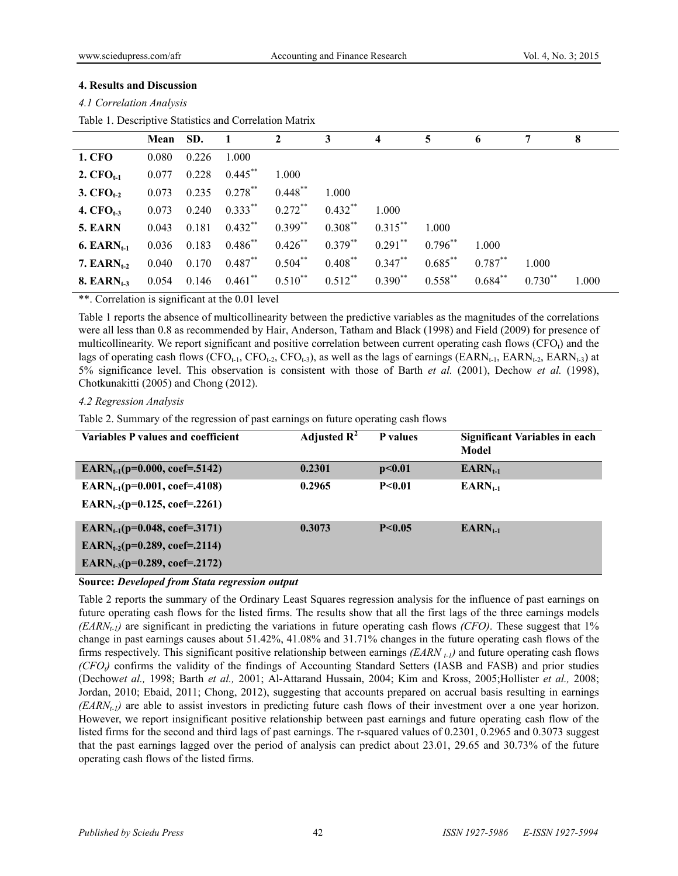#### **4. Results and Discussion**

|  |  | 4.1 Correlation Analysis |
|--|--|--------------------------|
|--|--|--------------------------|

Table 1. Descriptive Statistics and Correlation Matrix

|                  | Mean SD.      |       | $\blacksquare$            | $\overline{\mathbf{2}}$                                             | $3^{\circ}$                                 | $\overline{4}$ | 5          | 6          |              | 8     |
|------------------|---------------|-------|---------------------------|---------------------------------------------------------------------|---------------------------------------------|----------------|------------|------------|--------------|-------|
| <b>1. CFO</b>    | 0.080         | 0.226 | 1.000                     |                                                                     |                                             |                |            |            |              |       |
| 2. $CFO_{t-1}$   | 0.077         | 0.228 | $0.445***$                | 1.000                                                               |                                             |                |            |            |              |       |
| 3. $CFO_{t-2}$   | 0.073         | 0.235 | $0.278$ **                | $0.448$ **                                                          | 1.000                                       |                |            |            |              |       |
| 4. $CFO_{t-3}$   | 0.073         | 0.240 | $0.333^{**}$ $0.272^{**}$ |                                                                     | $0.432$ **                                  | 1.000          |            |            |              |       |
| 5. EARN          | 0.043         | 0.181 | $0.432$ ** $0.399$ **     |                                                                     | $0.308***$                                  | $0.315***$     | 1.000      |            |              |       |
| 6. EARN $_{t-1}$ | $0.036$ 0.183 |       |                           | $0.486$ ** $0.426$ **                                               | $0.379$ <sup>**</sup> $0.291$ <sup>**</sup> |                | $0.796***$ | 1.000      |              |       |
| 7. $EARN_{t-2}$  | 0.040         | 0.170 | $0.487***$                | $0.504***$                                                          | $0.408$ **                                  | $0.347***$     | $0.685***$ | $0.787***$ | 1 000        |       |
| 8. EARN $_{t-3}$ |               |       |                           | $0.054$ $0.146$ $0.461^{**}$ $0.510^{**}$ $0.512^{**}$ $0.390^{**}$ |                                             |                | $0.558***$ | $0.684***$ | $0.730^{**}$ | 1.000 |

\*\*. Correlation is significant at the 0.01 level

Table 1 reports the absence of multicollinearity between the predictive variables as the magnitudes of the correlations were all less than 0.8 as recommended by Hair, Anderson, Tatham and Black (1998) and Field (2009) for presence of multicollinearity. We report significant and positive correlation between current operating cash flows  $(CFO_t)$  and the lags of operating cash flows (CFO<sub>t-1</sub>, CFO<sub>t-2</sub>, CFO<sub>t-3</sub>), as well as the lags of earnings (EARN<sub>t-1</sub>, EARN<sub>t-2</sub>, EARN<sub>t-3</sub>) at 5% significance level. This observation is consistent with those of Barth *et al.* (2001), Dechow *et al.* (1998), Chotkunakitti (2005) and Chong (2012).

#### *4.2 Regression Analysis*

Table 2. Summary of the regression of past earnings on future operating cash flows

| Variables P values and coefficient        | Adjusted $\mathbb{R}^2$ | P values | <b>Significant Variables in each</b><br>Model |
|-------------------------------------------|-------------------------|----------|-----------------------------------------------|
| EARN <sub>t-1</sub> (p=0.000, coef=.5142) | 0.2301                  | p<0.01   | $EARN_{t-1}$                                  |
| EARN <sub>t-1</sub> (p=0.001, coef=.4108) | 0.2965                  | P < 0.01 | $EARN_{t-1}$                                  |
| EARN <sub>t-2</sub> (p=0.125, coef=.2261) |                         |          |                                               |
| EARN <sub>t-1</sub> (p=0.048, coef=.3171) | 0.3073                  | P < 0.05 | $EARN_{t-1}$                                  |
| EARN <sub>t-2</sub> (p=0.289, coef=.2114) |                         |          |                                               |
| EARN <sub>t-3</sub> (p=0.289, coef=.2172) |                         |          |                                               |

#### **Source:** *Developed from Stata regression output*

Table 2 reports the summary of the Ordinary Least Squares regression analysis for the influence of past earnings on future operating cash flows for the listed firms. The results show that all the first lags of the three earnings models *(EARN<sub>t-1</sub>)* are significant in predicting the variations in future operating cash flows *(CFO)*. These suggest that 1% change in past earnings causes about 51.42%, 41.08% and 31.71% changes in the future operating cash flows of the firms respectively. This significant positive relationship between earnings *(EARN t-1)* and future operating cash flows *(CFO<sub>t</sub>)* confirms the validity of the findings of Accounting Standard Setters (IASB and FASB) and prior studies (Dechow*et al.,* 1998; Barth *et al.,* 2001; Al-Attarand Hussain, 2004; Kim and Kross, 2005;Hollister *et al.,* 2008; Jordan, 2010; Ebaid, 2011; Chong, 2012), suggesting that accounts prepared on accrual basis resulting in earnings  $(EARN<sub>t-1</sub>)$  are able to assist investors in predicting future cash flows of their investment over a one year horizon. However, we report insignificant positive relationship between past earnings and future operating cash flow of the listed firms for the second and third lags of past earnings. The r-squared values of 0.2301, 0.2965 and 0.3073 suggest that the past earnings lagged over the period of analysis can predict about 23.01, 29.65 and 30.73% of the future operating cash flows of the listed firms.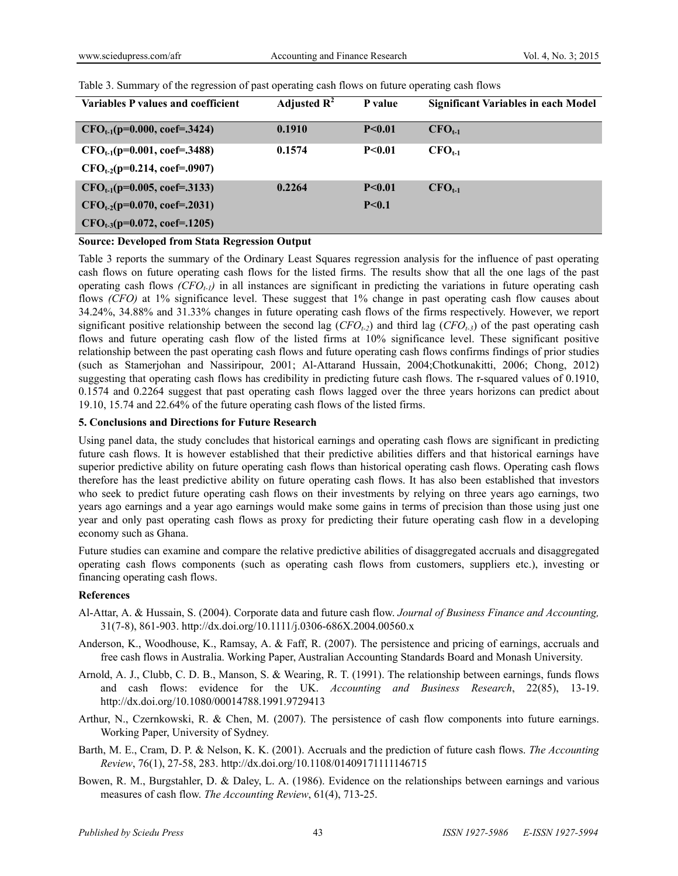| Variables P values and coefficient | Adjusted $\mathbb{R}^2$ | P value  | <b>Significant Variables in each Model</b> |
|------------------------------------|-------------------------|----------|--------------------------------------------|
| $CFO_{t-1}(p=0.000, coef=.3424)$   | 0.1910                  | P < 0.01 | $CFO_{t-1}$                                |
| $CFO_{t-1}(p=0.001, coef=.3488)$   | 0.1574                  | P < 0.01 | $CFO_{t-1}$                                |
| $CFO_{t-2}(p=0.214, coef=.0907)$   |                         |          |                                            |
| $CFO_{t-1}(p=0.005, coef=.3133)$   | 0.2264                  | P < 0.01 | $CFO_{t-1}$                                |
| $CFO_{t-2}(p=0.070, coef=.2031)$   |                         | P < 0.1  |                                            |
| $CFO_{t-3}(p=0.072, coef=.1205)$   |                         |          |                                            |

Table 3. Summary of the regression of past operating cash flows on future operating cash flows

#### **Source: Developed from Stata Regression Output**

Table 3 reports the summary of the Ordinary Least Squares regression analysis for the influence of past operating cash flows on future operating cash flows for the listed firms. The results show that all the one lags of the past operating cash flows  $(CFO_{t-1})$  in all instances are significant in predicting the variations in future operating cash flows *(CFO)* at 1% significance level. These suggest that 1% change in past operating cash flow causes about 34.24%, 34.88% and 31.33% changes in future operating cash flows of the firms respectively. However, we report significant positive relationship between the second lag  $(CFO_{t-2})$  and third lag  $(CFO_{t-3})$  of the past operating cash flows and future operating cash flow of the listed firms at 10% significance level. These significant positive relationship between the past operating cash flows and future operating cash flows confirms findings of prior studies (such as Stamerjohan and Nassiripour, 2001; Al-Attarand Hussain, 2004;Chotkunakitti, 2006; Chong, 2012) suggesting that operating cash flows has credibility in predicting future cash flows. The r-squared values of 0.1910, 0.1574 and 0.2264 suggest that past operating cash flows lagged over the three years horizons can predict about 19.10, 15.74 and 22.64% of the future operating cash flows of the listed firms.

#### **5. Conclusions and Directions for Future Research**

Using panel data, the study concludes that historical earnings and operating cash flows are significant in predicting future cash flows. It is however established that their predictive abilities differs and that historical earnings have superior predictive ability on future operating cash flows than historical operating cash flows. Operating cash flows therefore has the least predictive ability on future operating cash flows. It has also been established that investors who seek to predict future operating cash flows on their investments by relying on three years ago earnings, two years ago earnings and a year ago earnings would make some gains in terms of precision than those using just one year and only past operating cash flows as proxy for predicting their future operating cash flow in a developing economy such as Ghana.

Future studies can examine and compare the relative predictive abilities of disaggregated accruals and disaggregated operating cash flows components (such as operating cash flows from customers, suppliers etc.), investing or financing operating cash flows.

#### **References**

- Al-Attar, A. & Hussain, S. (2004). Corporate data and future cash flow. *Journal of Business Finance and Accounting,* 31(7-8), 861-903. http://dx.doi.org/10.1111/j.0306-686X.2004.00560.x
- Anderson, K., Woodhouse, K., Ramsay, A. & Faff, R. (2007). The persistence and pricing of earnings, accruals and free cash flows in Australia. Working Paper, Australian Accounting Standards Board and Monash University.
- Arnold, A. J., Clubb, C. D. B., Manson, S. & Wearing, R. T. (1991). The relationship between earnings, funds flows and cash flows: evidence for the UK. *Accounting and Business Research*, 22(85), 13-19. http://dx.doi.org/10.1080/00014788.1991.9729413
- Arthur, N., Czernkowski, R. & Chen, M. (2007). The persistence of cash flow components into future earnings. Working Paper, University of Sydney.
- Barth, M. E., Cram, D. P. & Nelson, K. K. (2001). Accruals and the prediction of future cash flows. *The Accounting Review*, 76(1), 27-58, 283. http://dx.doi.org/10.1108/01409171111146715
- Bowen, R. M., Burgstahler, D. & Daley, L. A. (1986). Evidence on the relationships between earnings and various measures of cash flow. *The Accounting Review*, 61(4), 713-25.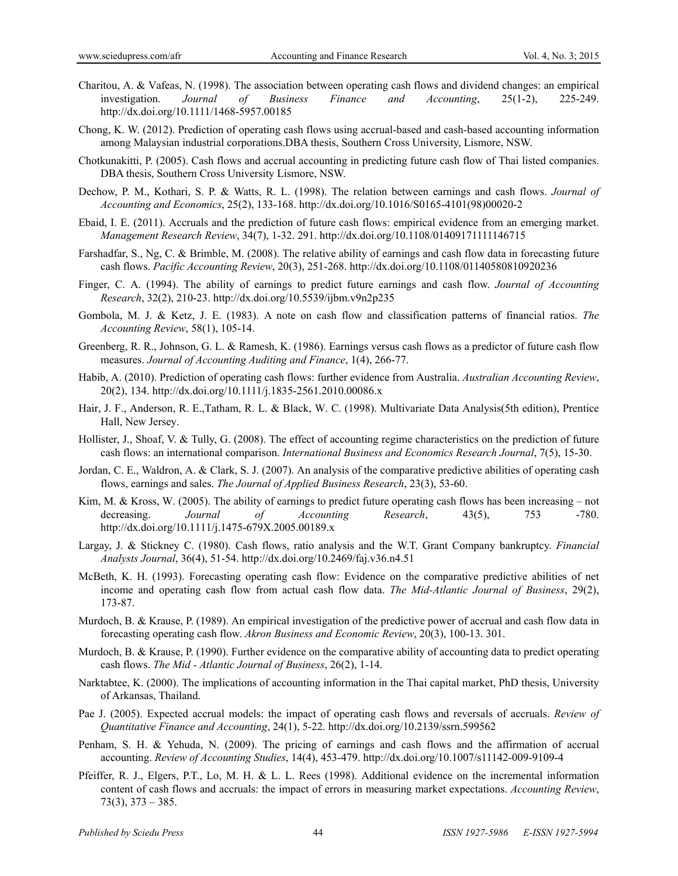- Charitou, A. & Vafeas, N. (1998). The association between operating cash flows and dividend changes: an empirical investigation. *Journal of Business Finance and Accounting*, 25(1-2), 225-249. http://dx.doi.org/10.1111/1468-5957.00185
- Chong, K. W. (2012). Prediction of operating cash flows using accrual-based and cash-based accounting information among Malaysian industrial corporations.DBA thesis, Southern Cross University, Lismore, NSW.
- Chotkunakitti, P. (2005). Cash flows and accrual accounting in predicting future cash flow of Thai listed companies. DBA thesis, Southern Cross University Lismore, NSW.
- Dechow, P. M., Kothari, S. P. & Watts, R. L. (1998). The relation between earnings and cash flows. *Journal of Accounting and Economics*, 25(2), 133-168. http://dx.doi.org/10.1016/S0165-4101(98)00020-2
- Ebaid, I. E. (2011). Accruals and the prediction of future cash flows: empirical evidence from an emerging market. *Management Research Review*, 34(7), 1-32. 291. http://dx.doi.org/10.1108/01409171111146715
- Farshadfar, S., Ng, C. & Brimble, M. (2008). The relative ability of earnings and cash flow data in forecasting future cash flows. *Pacific Accounting Review*, 20(3), 251-268. http://dx.doi.org/10.1108/01140580810920236
- Finger, C. A. (1994). The ability of earnings to predict future earnings and cash flow. *Journal of Accounting Research*, 32(2), 210-23. http://dx.doi.org/10.5539/ijbm.v9n2p235
- Gombola, M. J. & Ketz, J. E. (1983). A note on cash flow and classification patterns of financial ratios. *The Accounting Review*, 58(1), 105-14.
- Greenberg, R. R., Johnson, G. L. & Ramesh, K. (1986). Earnings versus cash flows as a predictor of future cash flow measures. *Journal of Accounting Auditing and Finance*, 1(4), 266-77.
- Habib, A. (2010). Prediction of operating cash flows: further evidence from Australia. *Australian Accounting Review*, 20(2), 134. http://dx.doi.org/10.1111/j.1835-2561.2010.00086.x
- Hair, J. F., Anderson, R. E.,Tatham, R. L. & Black, W. C. (1998). Multivariate Data Analysis(5th edition), Prentice Hall, New Jersey.
- Hollister, J., Shoaf, V. & Tully, G. (2008). The effect of accounting regime characteristics on the prediction of future cash flows: an international comparison. *International Business and Economics Research Journal*, 7(5), 15-30.
- Jordan, C. E., Waldron, A. & Clark, S. J. (2007). An analysis of the comparative predictive abilities of operating cash flows, earnings and sales. *The Journal of Applied Business Research*, 23(3), 53-60.
- Kim, M. & Kross, W. (2005). The ability of earnings to predict future operating cash flows has been increasing not decreasing. *Journal of Accounting Research*, 43(5), 753 -780. http://dx.doi.org/10.1111/j.1475-679X.2005.00189.x
- Largay, J. & Stickney C. (1980). Cash flows, ratio analysis and the W.T. Grant Company bankruptcy. *Financial Analysts Journal*, 36(4), 51-54. http://dx.doi.org/10.2469/faj.v36.n4.51
- McBeth, K. H. (1993). Forecasting operating cash flow: Evidence on the comparative predictive abilities of net income and operating cash flow from actual cash flow data. *The Mid-Atlantic Journal of Business*, 29(2), 173-87.
- Murdoch, B. & Krause, P. (1989). An empirical investigation of the predictive power of accrual and cash flow data in forecasting operating cash flow. *Akron Business and Economic Review*, 20(3), 100-13. 301.
- Murdoch, B. & Krause, P. (1990). Further evidence on the comparative ability of accounting data to predict operating cash flows. *The Mid - Atlantic Journal of Business*, 26(2), 1-14.
- Narktabtee, K. (2000). The implications of accounting information in the Thai capital market, PhD thesis, University of Arkansas, Thailand.
- Pae J. (2005). Expected accrual models: the impact of operating cash flows and reversals of accruals. *Review of Quantitative Finance and Accounting*, 24(1), 5-22. http://dx.doi.org/10.2139/ssrn.599562
- Penham, S. H. & Yehuda, N. (2009). The pricing of earnings and cash flows and the affirmation of accrual accounting. *Review of Accounting Studies*, 14(4), 453-479. http://dx.doi.org/10.1007/s11142-009-9109-4
- Pfeiffer, R. J., Elgers, P.T., Lo, M. H. & L. L. Rees (1998). Additional evidence on the incremental information content of cash flows and accruals: the impact of errors in measuring market expectations. *Accounting Review*,  $73(3)$ ,  $373 - 385$ .